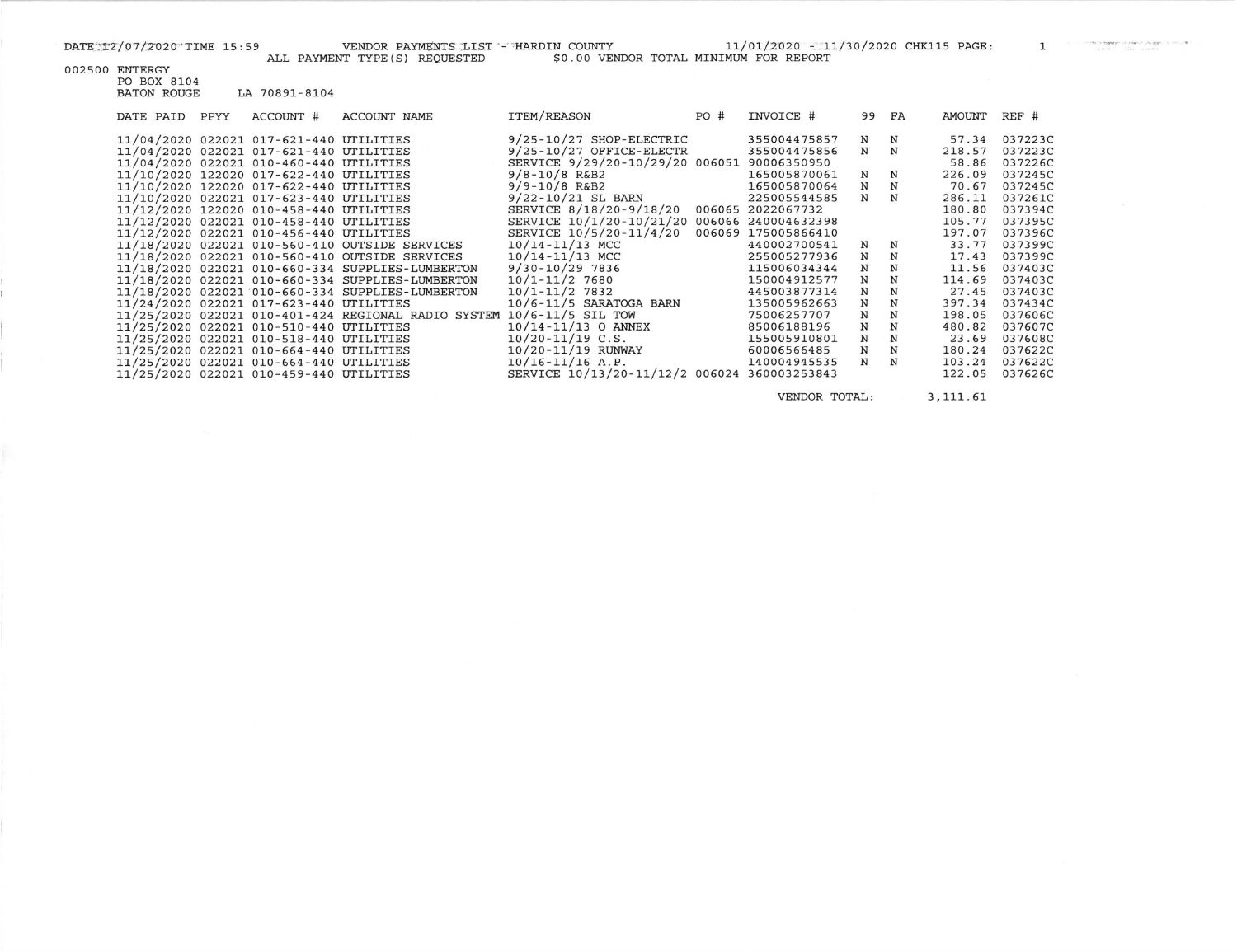IN COUNTY 11/01/2020 - 11/30/2020 CHK115 PAGE: 1

|  |                | AUU FAIMB     |
|--|----------------|---------------|
|  | 002500 ENTERGY |               |
|  | PO BOX 8104    |               |
|  | BATON ROUGE    | LA 70891-8104 |
|  |                |               |

| DATE PAID | PPYY | ACCOUNT #                                                                                                                                                                                                                                                                                                                                                                                                                                                                                                                                                                                                              | ACCOUNT NAME                                                                                                                                                                                                                                                                                                        | ITEM/REASON                                                                                                                                                                                                                                                                                                                                                                                                                                                                                                             | PO#              | INVOICE #                                                                                                                                                                                                                                                                                                                     | 99                                                                           | FA                                                                           | AMOUNT                                                                                                                                                                                       | REF #                                                                                                                                                                                                                    |
|-----------|------|------------------------------------------------------------------------------------------------------------------------------------------------------------------------------------------------------------------------------------------------------------------------------------------------------------------------------------------------------------------------------------------------------------------------------------------------------------------------------------------------------------------------------------------------------------------------------------------------------------------------|---------------------------------------------------------------------------------------------------------------------------------------------------------------------------------------------------------------------------------------------------------------------------------------------------------------------|-------------------------------------------------------------------------------------------------------------------------------------------------------------------------------------------------------------------------------------------------------------------------------------------------------------------------------------------------------------------------------------------------------------------------------------------------------------------------------------------------------------------------|------------------|-------------------------------------------------------------------------------------------------------------------------------------------------------------------------------------------------------------------------------------------------------------------------------------------------------------------------------|------------------------------------------------------------------------------|------------------------------------------------------------------------------|----------------------------------------------------------------------------------------------------------------------------------------------------------------------------------------------|--------------------------------------------------------------------------------------------------------------------------------------------------------------------------------------------------------------------------|
|           |      | 11/04/2020 022021 017-621-440 UTILITIES<br>11/04/2020 022021 017-621-440 UTILITIES<br>11/04/2020 022021 010-460-440 UTILITIES<br>11/10/2020 122020 017-622-440 UTILITIES<br>11/10/2020 122020 017-622-440 UTILITIES<br>11/10/2020 022021 017-623-440 UTILITIES<br>11/12/2020 122020 010-458-440 UTILITIES<br>11/12/2020 022021 010-458-440 UTILITIES<br>11/12/2020 022021 010-456-440 UTILITIES<br>11/24/2020 022021 017-623-440 UTILITIES<br>11/25/2020 022021 010-510-440 UTILITIES<br>11/25/2020 022021 010-518-440 UTILITIES<br>11/25/2020 022021 010-664-440 UTILITIES<br>11/25/2020 022021 010-664-440 UTILITIES | 11/18/2020 022021 010-560-410 OUTSIDE SERVICES<br>11/18/2020 022021 010-560-410 OUTSIDE SERVICES<br>11/18/2020 022021 010-660-334 SUPPLIES-LUMBERTON<br>11/18/2020 022021 010-660-334 SUPPLIES-LUMBERTON<br>11/18/2020 022021 010-660-334 SUPPLIES-LUMBERTON<br>11/25/2020 022021 010-401-424 REGIONAL RADIO SYSTEM | $9/25 - 10/27$ SHOP-ELECTRIC<br>$9/25 - 10/27$ OFFICE-ELECTR<br>SERVICE 9/29/20-10/29/20 006051<br>$9/8 - 10/8$ R&B2<br>$9/9 - 10/8$ R&B2<br>9/22-10/21 SL BARN<br>SERVICE 8/18/20-9/18/20<br>SERVICE 10/1/20-10/21/20<br>SERVICE 10/5/20-11/4/20<br>$10/14 - 11/13$ MCC<br>$10/14 - 11/13$ MCC<br>$9/30 - 10/29$ 7836<br>$10/1 - 11/2$ 7680<br>$10/1 - 11/2$ 7832<br>$10/6 - 11/5$ SARATOGA BARN<br>10/6-11/5 SIL TOW<br>$10/14 - 11/13$ O ANNEX<br>$10/20 - 11/19$ C.S.<br>10/20-11/19 RUNWAY<br>$10/16 - 11/16$ A.P. | 006065<br>006069 | 355004475857<br>355004475856<br>90006350950<br>165005870061<br>165005870064<br>225005544585<br>2022067732<br>006066 240004632398<br>175005866410<br>440002700541<br>255005277936<br>115006034344<br>150004912577<br>445003877314<br>135005962663<br>75006257707<br>85006188196<br>155005910801<br>60006566485<br>140004945535 | N<br>N<br>N<br>N<br>N<br>N<br>N<br>N<br>N<br>N<br>N<br>N<br>N<br>N<br>N<br>N | N<br>N<br>N<br>N<br>N<br>N<br>N<br>N<br>N<br>N<br>N<br>N<br>N<br>N<br>N<br>N | 57.34<br>218.57<br>58.86<br>226.09<br>70.67<br>286.11<br>180.80<br>105.77<br>197.07<br>33.77<br>17.43<br>11.56<br>114.69<br>27.45<br>397.34<br>198.05<br>480.82<br>23.69<br>180.24<br>103.24 | 037223C<br>037223C<br>037226C<br>037245C<br>037245C<br>037261C<br>037394C<br>037395C<br>037396C<br>037399C<br>037399C<br>037403C<br>037403C<br>037403C<br>037434C<br>037606C<br>037607C<br>037608C<br>037622C<br>037622C |
|           |      | 11/25/2020 022021 010-459-440 UTILITIES                                                                                                                                                                                                                                                                                                                                                                                                                                                                                                                                                                                |                                                                                                                                                                                                                                                                                                                     | SERVICE 10/13/20-11/12/2 006024                                                                                                                                                                                                                                                                                                                                                                                                                                                                                         |                  | 360003253843                                                                                                                                                                                                                                                                                                                  |                                                                              |                                                                              | 122.05                                                                                                                                                                                       | 037626C                                                                                                                                                                                                                  |

VENDOR TOTAL:

3,111.61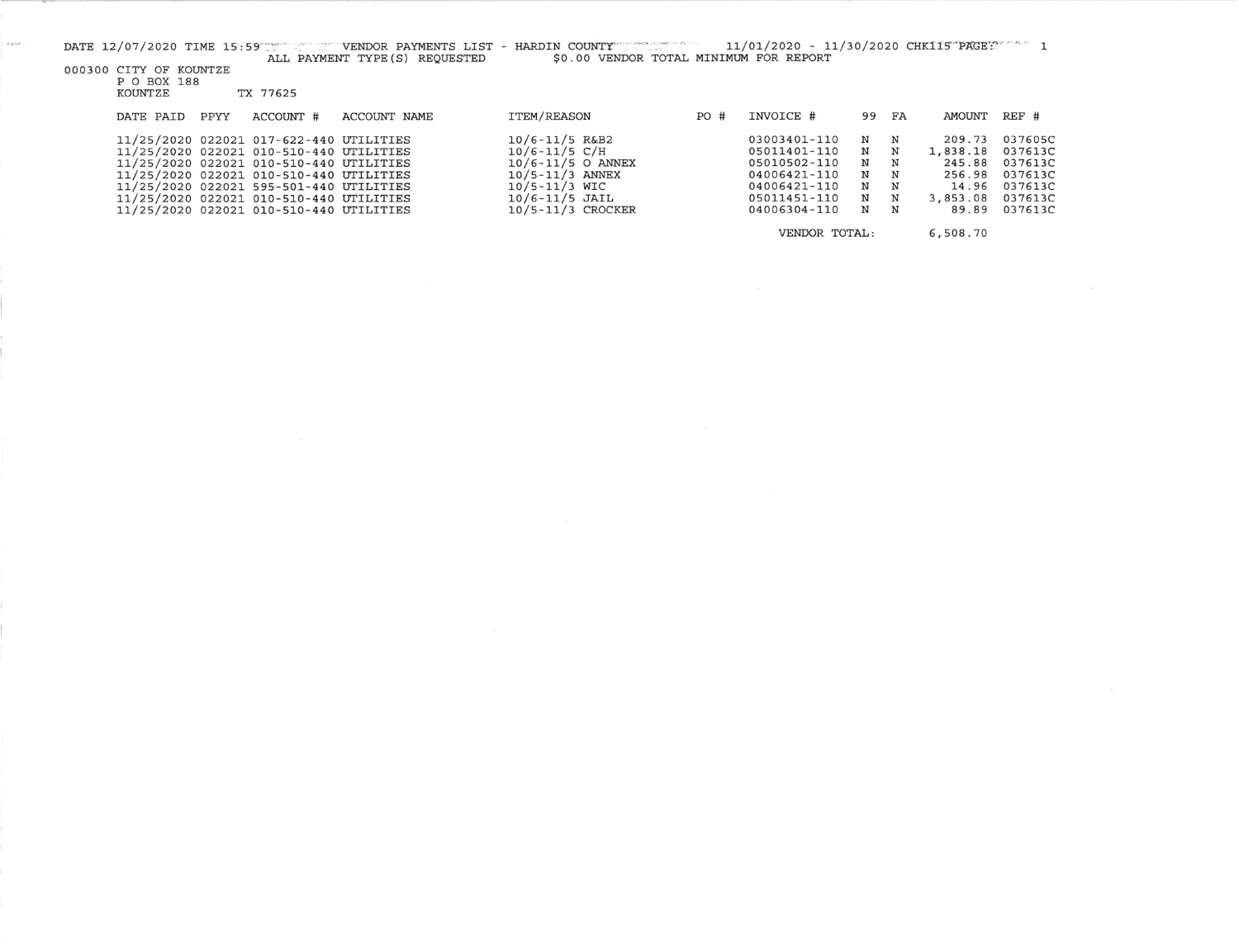000300 CITY OF KOUNTZE<br>P O BOX 188<br>KOUNTZE TX 77625

 $-$ 

|  | DATE PAID | PPYY | ACCOUNT #                                                                                                                                                                                                                                                                                                 | ACCOUNT NAME | ITEM/REASON                                                                                                                                         | PO# | INVOICE #                                                                                                    | 99 FA                           |                                                    | AMOUNT                                                               | $REF$ #                                                                   |
|--|-----------|------|-----------------------------------------------------------------------------------------------------------------------------------------------------------------------------------------------------------------------------------------------------------------------------------------------------------|--------------|-----------------------------------------------------------------------------------------------------------------------------------------------------|-----|--------------------------------------------------------------------------------------------------------------|---------------------------------|----------------------------------------------------|----------------------------------------------------------------------|---------------------------------------------------------------------------|
|  |           |      | 11/25/2020 022021 017-622-440 UTILITIES<br>11/25/2020 022021 010-510-440 UTILITIES<br>11/25/2020 022021 010-510-440 UTILITIES<br>11/25/2020 022021 010-510-440 UTILITIES<br>11/25/2020 022021 595-501-440 UTILITIES<br>11/25/2020 022021 010-510-440 UTILITIES<br>11/25/2020 022021 010-510-440 UTILITIES |              | $10/6 - 11/5$ R&B2<br>$10/6 - 11/5 C/H$<br>$10/6 - 11/5$ O ANNEX<br>$10/5 - 11/3$ ANNEX<br>10/5-11/3 WIC<br>$10/6 - 11/5$ JAIL<br>10/5-11/3 CROCKER |     | 03003401-110<br>05011401-110<br>05010502-110<br>04006421-110<br>04006421-110<br>05011451-110<br>04006304-110 | N<br>N<br>N<br>N<br>N<br>N<br>N | $_{\rm N}$<br>$\mathbf N$<br>N<br>N<br>N<br>N<br>N | 209.73<br>1,838.18<br>245.88<br>256.98<br>14.96<br>3,853.08<br>89.89 | 037605C<br>037613C<br>037613C<br>037613C<br>037613C<br>037613C<br>037613C |
|  |           |      |                                                                                                                                                                                                                                                                                                           |              | VENDOR TOTAL:                                                                                                                                       |     |                                                                                                              | 6,508.70                        |                                                    |                                                                      |                                                                           |